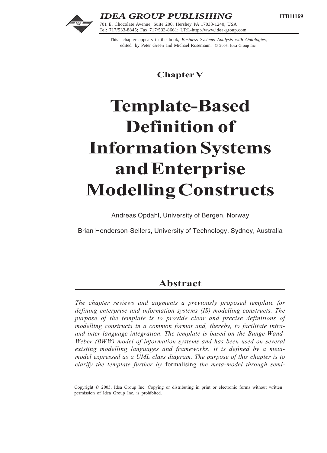



## *IDEA GROUP PUBLISHING*

Tel: 717/533-8845; Fax 717/533-8661; URL-http://www.idea-group.com 701 E. Chocolate Avenue, Suite 200, Hershey PA 17033-1240, USA

This chapter appears in the book, *Business Systems Analysis with Ontologies,* edited by Peter Green and Michael Rosemann. © 2005, Idea Group Inc.

**Chapter V**

# **Template-Based Definition of Information Systems and Enterprise Modelling Constructs**

Andreas Opdahl, University of Bergen, Norway

Brian Henderson-Sellers, University of Technology, Sydney, Australia

# **Abstract**

*The chapter reviews and augments a previously proposed template for defining enterprise and information systems (IS) modelling constructs. The purpose of the template is to provide clear and precise definitions of modelling constructs in a common format and, thereby, to facilitate intraand inter-language integration. The template is based on the Bunge-Wand-Weber (BWW) model of information systems and has been used on several existing modelling languages and frameworks. It is defined by a metamodel expressed as a UML class diagram. The purpose of this chapter is to clarify the template further by* formalising *the meta-model through semi-*

Copyright © 2005, Idea Group Inc. Copying or distributing in print or electronic forms without written permission of Idea Group Inc. is prohibited.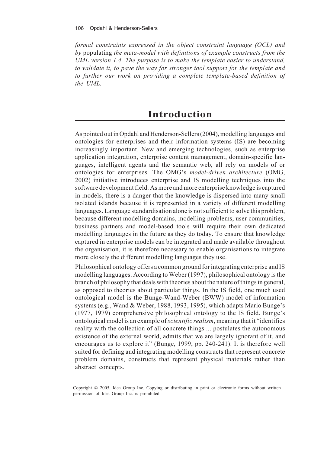*formal constraints expressed in the object constraint language (OCL) and by* populating *the meta-model with definitions of example constructs from the UML version 1.4. The purpose is to make the template easier to understand, to validate it, to pave the way for stronger tool support for the template and to further our work on providing a complete template-based definition of the UML.*

## **Introduction**

As pointed out in Opdahl and Henderson-Sellers (2004), modelling languages and ontologies for enterprises and their information systems (IS) are becoming increasingly important. New and emerging technologies, such as enterprise application integration, enterprise content management, domain-specific languages, intelligent agents and the semantic web, all rely on models of or ontologies for enterprises. The OMG's *model-driven architecture* (OMG, 2002) initiative introduces enterprise and IS modelling techniques into the software development field. As more and more enterprise knowledge is captured in models, there is a danger that the knowledge is dispersed into many small isolated islands because it is represented in a variety of different modelling languages. Language standardisation alone is not sufficient to solve this problem, because different modelling domains, modelling problems, user communities, business partners and model-based tools will require their own dedicated modelling languages in the future as they do today. To ensure that knowledge captured in enterprise models can be integrated and made available throughout the organisation, it is therefore necessary to enable organisations to integrate more closely the different modelling languages they use.

Philosophical ontology offers a common ground for integrating enterprise and IS modelling languages. According to Weber (1997), philosophical ontology is the branch of philosophy that deals with theories about the nature of things in general, as opposed to theories about particular things. In the IS field, one much used ontological model is the Bunge-Wand-Weber (BWW) model of information systems (e.g., Wand & Weber, 1988, 1993, 1995), which adapts Mario Bunge's (1977, 1979) comprehensive philosophical ontology to the IS field. Bunge's ontological model is an example of *scientific realism*, meaning that it "identifies reality with the collection of all concrete things ... postulates the autonomous existence of the external world, admits that we are largely ignorant of it, and encourages us to explore it" (Bunge, 1999, pp. 240-241). It is therefore well suited for defining and integrating modelling constructs that represent concrete problem domains, constructs that represent physical materials rather than abstract concepts.

Copyright © 2005, Idea Group Inc. Copying or distributing in print or electronic forms without written permission of Idea Group Inc. is prohibited.